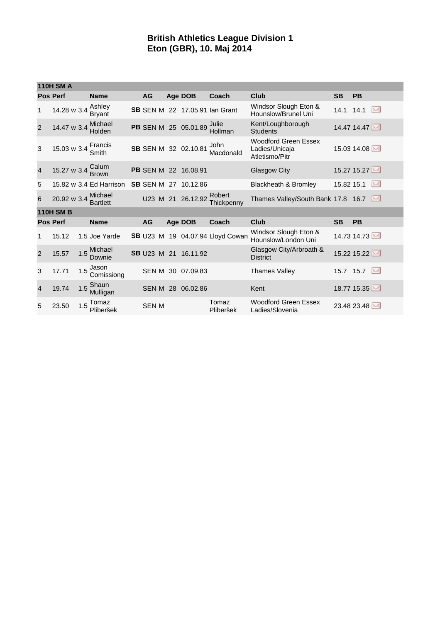## **British Athletics League Division 1 Eton (GBR), 10. Maj 2014**

|                  | <b>110H SM A</b>    |     |                            |  |              |  |                             |                                       |                                                                 |            |             |           |
|------------------|---------------------|-----|----------------------------|--|--------------|--|-----------------------------|---------------------------------------|-----------------------------------------------------------------|------------|-------------|-----------|
|                  | <b>Pos Perf</b>     |     | <b>Name</b>                |  | AG           |  | Age DOB                     | Coach                                 | Club                                                            | <b>SB</b>  | <b>PB</b>   |           |
| 1                | 14.28 w 3.4         |     | Ashley<br><b>Bryant</b>    |  |              |  |                             | <b>SB SEN M 22 17.05.91 Ian Grant</b> | Windsor Slough Eton &<br>Hounslow/Brunel Uni                    |            | 14.1 14.1   | $\bowtie$ |
| 2                | 14.47 w 3.4         |     | Michael<br>Holden          |  |              |  | PB SEN M 25 05.01.89        | Julie<br>Hollman                      | Kent/Loughborough<br><b>Students</b>                            |            | 14.47 14.47 |           |
| 3                | 15.03 w 3.4 Francis |     | Smith                      |  |              |  | SB SEN M 32 02.10.81        | John<br>Macdonald                     | <b>Woodford Green Essex</b><br>Ladies/Unicaja<br>Atletismo/Pitr |            | 15.03 14.08 |           |
| $\overline{4}$   | 15.27 w 3.4         |     | Calum<br><b>Brown</b>      |  |              |  | PB SEN M 22 16.08.91        |                                       | Glasgow City                                                    |            | 15.27 15.27 |           |
| 5                |                     |     | 15.82 w 3.4 Ed Harrison    |  |              |  | <b>SB SEN M 27 10.12.86</b> |                                       | <b>Blackheath &amp; Bromley</b>                                 | 15.82 15.1 |             | M         |
| 6                | 20.92 w 3.4         |     | Michael<br><b>Bartlett</b> |  |              |  |                             | U23 M 21 26.12.92 Robert              | Thames Valley/South Bank 17.8 16.7                              |            |             |           |
| <b>110H SM B</b> |                     |     |                            |  |              |  |                             |                                       |                                                                 |            |             |           |
|                  | <b>Pos Perf</b>     |     | <b>Name</b>                |  | <b>AG</b>    |  | Age DOB                     | Coach                                 | Club                                                            | <b>SB</b>  | <b>PB</b>   |           |
| 1                | 15.12               |     | 1.5 Joe Yarde              |  |              |  |                             | SB U23 M 19 04.07.94 Lloyd Cowan      | Windsor Slough Eton &<br>Hounslow/London Uni                    |            | 14.73 14.73 |           |
| 2                | 15.57               | 1.5 | Michael<br>Downie          |  |              |  | SB U23 M 21 16.11.92        |                                       | Glasgow City/Arbroath &<br><b>District</b>                      |            | 15.22 15.22 |           |
| 3                | 17.71               | 1.5 | Jason<br>Comissiong        |  |              |  | SEN M 30 07.09.83           |                                       | <b>Thames Valley</b>                                            |            | 15.7 15.7   |           |
| $\overline{4}$   | 19.74               |     | Shaun<br>$1.5$ Sm.         |  |              |  | SEN M 28 06.02.86           |                                       | Kent                                                            |            | 18.77 15.35 |           |
| 5                | 23.50               | 1.5 | Tomaz<br>Pliberšek         |  | <b>SEN M</b> |  |                             | Tomaz<br>Pliberšek                    | <b>Woodford Green Essex</b><br>Ladies/Slovenia                  |            | 23.48 23.48 |           |